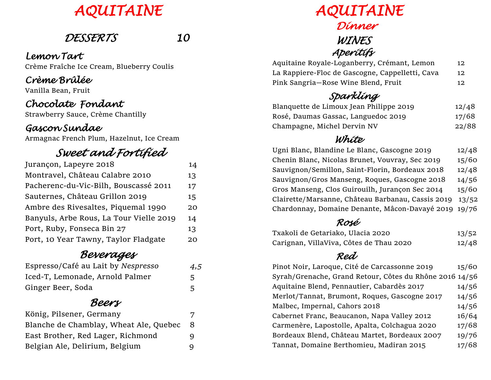# *AQUITAINE*

## *DESSERTS 10*

#### *Lemon Tart* Crème Fraîche Ice Cream, Blueberry Coulis

#### *Crème Brûlée*

Vanilla Bean, Fruit

#### *Chocolate Fondant*

Strawberry Sauce, Crème Chantilly

#### *Gascon Sundae*

Armagnac French Plum, Hazelnut, Ice Cream

## *Sweet and Fortified*

| Jurançon, Lapeyre 2018                  | 14 |
|-----------------------------------------|----|
| Montravel, Château Calabre 2010         | 13 |
| Pacherenc-du-Vic-Bilh, Bouscassé 2011   | 17 |
| Sauternes, Château Grillon 2019         | 15 |
| Ambre des Rivesaltes, Piquemal 1990     | 20 |
| Banyuls, Arbe Rous, La Tour Vielle 2019 | 14 |
| Port, Ruby, Fonseca Bin 27              | 13 |
| Port, 10 Year Tawny, Taylor Fladgate    | 20 |

#### *Beverages*

| Espresso/Café au Lait by Nespresso | 4,5 |
|------------------------------------|-----|
| Iced-T, Lemonade, Arnold Palmer    | 5   |
| Ginger Beer, Soda                  |     |

#### *Beers*

| König, Pilsener, Germany               | 7  |
|----------------------------------------|----|
| Blanche de Chamblay, Wheat Ale, Quebec | -8 |
| East Brother, Red Lager, Richmond      | Q. |
| Belgian Ale, Delirium, Belgium         |    |
|                                        |    |

 *AQUITAINE Dinner WINES Aperitifs* 

| Aquitaine Royale-Loganberry, Crémant, Lemon     | 12  |
|-------------------------------------------------|-----|
| La Rappiere-Floc de Gascogne, Cappelletti, Cava | 12  |
| Pink Sangria-Rose Wine Blend, Fruit             | 12. |

#### *Sparkling*

| Blanquette de Limoux Jean Philippe 2019 | 12/48 |
|-----------------------------------------|-------|
| Rosé, Daumas Gassac, Languedoc 2019     | 17/68 |
| Champagne, Michel Dervin NV             | 22/88 |

#### *White*

| Ugni Blanc, Blandine Le Blanc, Gascogne 2019         | 12/48 |
|------------------------------------------------------|-------|
| Chenin Blanc, Nicolas Brunet, Vouvray, Sec 2019      | 15/60 |
| Sauvignon/Semillon, Saint-Florin, Bordeaux 2018      | 12/48 |
| Sauvignon/Gros Manseng, Roques, Gascogne 2018        | 14/56 |
| Gros Manseng, Clos Guirouilh, Jurançon Sec 2014      | 15/60 |
| Clairette/Marsanne, Château Barbanau, Cassis 2019    | 13/52 |
| Chardonnay, Domaine Denante, Mâcon-Davayé 2019 19/76 |       |

#### *Rosé*

| Txakoli de Getariako, Ulacia 2020       | 13/52 |
|-----------------------------------------|-------|
| Carignan, VillaViva, Côtes de Thau 2020 | 12/48 |

#### *Red*

| Syrah/Grenache, Grand Retour, Côtes du Rhône 2016 14/56<br>Aquitaine Blend, Pennautier, Cabardès 2017<br>Merlot/Tannat, Brumont, Roques, Gascogne 2017<br>Malbec, Impernal, Cahors 2018<br>Cabernet Franc, Beaucanon, Napa Valley 2012<br>Carmenère, Lapostolle, Apalta, Colchagua 2020<br>Bordeaux Blend, Château Martet, Bordeaux 2007<br>Tannat, Domaine Berthomieu, Madiran 2015 | 15/60 |
|--------------------------------------------------------------------------------------------------------------------------------------------------------------------------------------------------------------------------------------------------------------------------------------------------------------------------------------------------------------------------------------|-------|
|                                                                                                                                                                                                                                                                                                                                                                                      |       |
|                                                                                                                                                                                                                                                                                                                                                                                      | 14/56 |
|                                                                                                                                                                                                                                                                                                                                                                                      | 14/56 |
|                                                                                                                                                                                                                                                                                                                                                                                      | 14/56 |
|                                                                                                                                                                                                                                                                                                                                                                                      | 16/64 |
|                                                                                                                                                                                                                                                                                                                                                                                      | 17/68 |
|                                                                                                                                                                                                                                                                                                                                                                                      | 19/76 |
|                                                                                                                                                                                                                                                                                                                                                                                      | 17/68 |